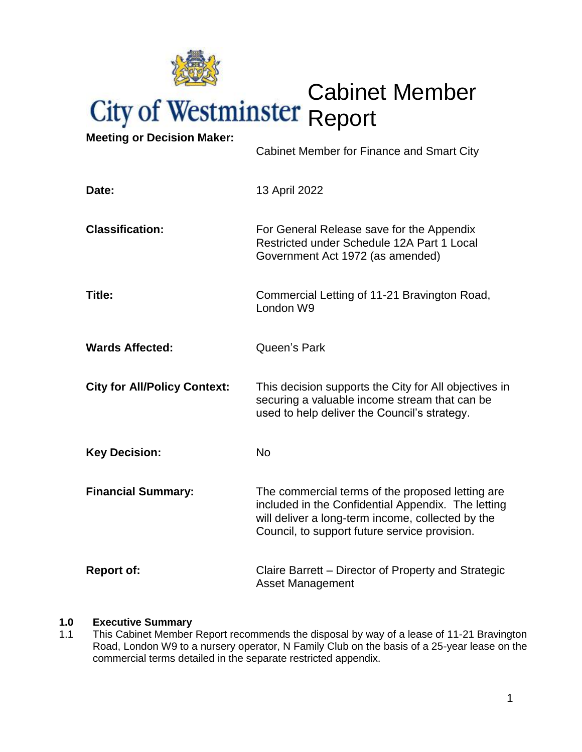

# Cabinet Member Report

| <b>Meeting or Decision Maker:</b>   | <b>Cabinet Member for Finance and Smart City</b>                                                                                                                                                             |  |
|-------------------------------------|--------------------------------------------------------------------------------------------------------------------------------------------------------------------------------------------------------------|--|
| Date:                               | 13 April 2022                                                                                                                                                                                                |  |
| <b>Classification:</b>              | For General Release save for the Appendix<br>Restricted under Schedule 12A Part 1 Local<br>Government Act 1972 (as amended)                                                                                  |  |
| Title:                              | Commercial Letting of 11-21 Bravington Road,<br>London W9                                                                                                                                                    |  |
| <b>Wards Affected:</b>              | Queen's Park                                                                                                                                                                                                 |  |
| <b>City for All/Policy Context:</b> | This decision supports the City for All objectives in<br>securing a valuable income stream that can be<br>used to help deliver the Council's strategy.                                                       |  |
| <b>Key Decision:</b>                | <b>No</b>                                                                                                                                                                                                    |  |
| <b>Financial Summary:</b>           | The commercial terms of the proposed letting are<br>included in the Confidential Appendix. The letting<br>will deliver a long-term income, collected by the<br>Council, to support future service provision. |  |
| <b>Report of:</b>                   | Claire Barrett - Director of Property and Strategic<br><b>Asset Management</b>                                                                                                                               |  |

## **1.0 Executive Summary**

1.1 This Cabinet Member Report recommends the disposal by way of a lease of 11-21 Bravington Road, London W9 to a nursery operator, N Family Club on the basis of a 25-year lease on the commercial terms detailed in the separate restricted appendix.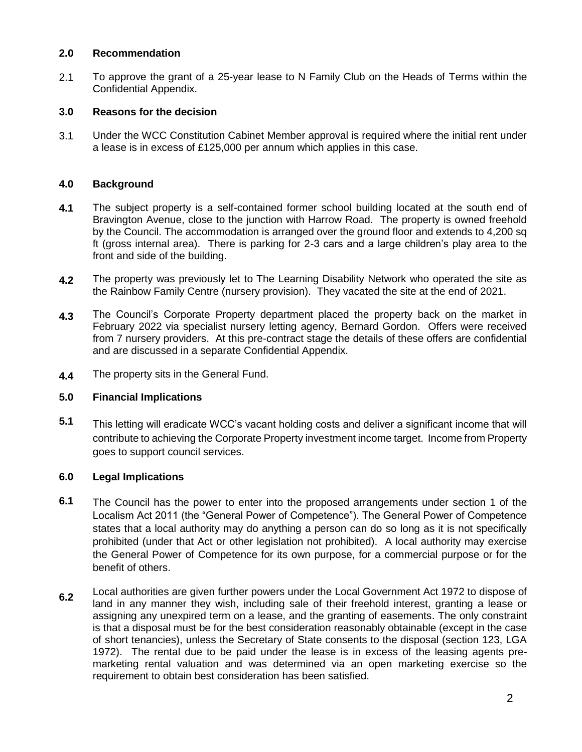### **2.0 Recommendation**

2.1 To approve the grant of a 25-year lease to N Family Club on the Heads of Terms within the Confidential Appendix.

### **3.0 Reasons for the decision**

3.1 Under the WCC Constitution Cabinet Member approval is required where the initial rent under a lease is in excess of £125,000 per annum which applies in this case.

### **4.0 Background**

- **4.1** The subject property is a self-contained former school building located at the south end of Bravington Avenue, close to the junction with Harrow Road. The property is owned freehold by the Council. The accommodation is arranged over the ground floor and extends to 4,200 sq ft (gross internal area). There is parking for 2-3 cars and a large children's play area to the front and side of the building.
- **4.2** The property was previously let to The Learning Disability Network who operated the site as the Rainbow Family Centre (nursery provision). They vacated the site at the end of 2021.
- **4.3** The Council's Corporate Property department placed the property back on the market in February 2022 via specialist nursery letting agency, Bernard Gordon. Offers were received from 7 nursery providers. At this pre-contract stage the details of these offers are confidential and are discussed in a separate Confidential Appendix.
- **4.4** The property sits in the General Fund.

#### **5.0 Financial Implications**

**5.1** This letting will eradicate WCC's vacant holding costs and deliver a significant income that will contribute to achieving the Corporate Property investment income target. Income from Property goes to support council services.

### **6.0 Legal Implications**

- **6.1** The Council has the power to enter into the proposed arrangements under section 1 of the Localism Act 2011 (the "General Power of Competence"). The General Power of Competence states that a local authority may do anything a person can do so long as it is not specifically prohibited (under that Act or other legislation not prohibited). A local authority may exercise the General Power of Competence for its own purpose, for a commercial purpose or for the benefit of others.
- **6.2** Local authorities are given further powers under the Local Government Act 1972 to dispose of land in any manner they wish, including sale of their freehold interest, granting a lease or assigning any unexpired term on a lease, and the granting of easements. The only constraint is that a disposal must be for the best consideration reasonably obtainable (except in the case of short tenancies), unless the Secretary of State consents to the disposal (section 123, LGA 1972). The rental due to be paid under the lease is in excess of the leasing agents premarketing rental valuation and was determined via an open marketing exercise so the requirement to obtain best consideration has been satisfied.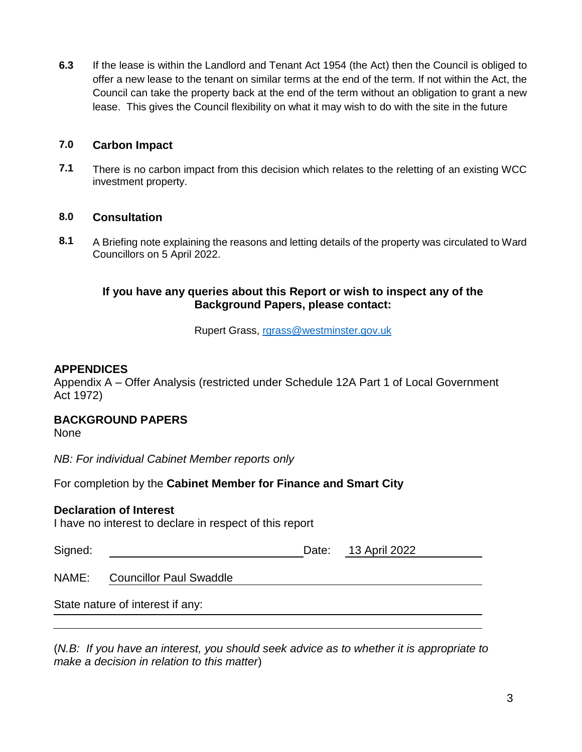**6.3** If the lease is within the Landlord and Tenant Act 1954 (the Act) then the Council is obliged to offer a new lease to the tenant on similar terms at the end of the term. If not within the Act, the Council can take the property back at the end of the term without an obligation to grant a new lease. This gives the Council flexibility on what it may wish to do with the site in the future

### **7.0 Carbon Impact**

**7.1** There is no carbon impact from this decision which relates to the reletting of an existing WCC investment property.

### **8.0 Consultation**

**8.1** A Briefing note explaining the reasons and letting details of the property was circulated to Ward Councillors on 5 April 2022.

# **If you have any queries about this Report or wish to inspect any of the Background Papers, please contact:**

Rupert Grass, [rgrass@westminster.gov.uk](mailto:rgrass@westminster.gov.uk)

# **APPENDICES**

Appendix A – Offer Analysis (restricted under Schedule 12A Part 1 of Local Government Act 1972)

# **BACKGROUND PAPERS**

None

*NB: For individual Cabinet Member reports only*

For completion by the **Cabinet Member for Finance and Smart City**

# **Declaration of Interest**

I have no interest to declare in respect of this report

| Signed: |                                  | Date: 13 April 2022 |
|---------|----------------------------------|---------------------|
|         | NAME: Councillor Paul Swaddle    |                     |
|         | State nature of interest if any: |                     |

(*N.B: If you have an interest, you should seek advice as to whether it is appropriate to make a decision in relation to this matter*)